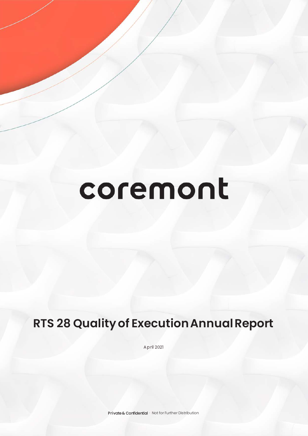# coremont

# **RTS 28 Quality of Execution Annual Report**

A pril 2021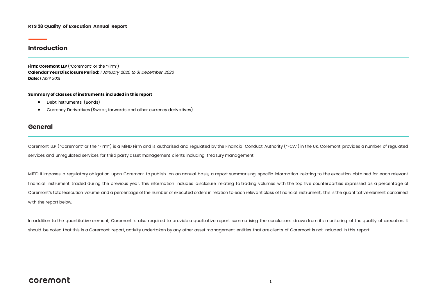#### **RTS 28 Quality of Execution Annual Report**

#### **Introduction**

**Firm: Coremont LLP** ("Coremont" or the "Firm") **Calendar Year Disclosure Period:** *1 January 2020 to 31 December 2020*  **Date:** *1 April 2021*

#### **Summary of classes of instruments included in this report**

- Debt instruments (Bonds)
- Currency Derivatives (Swaps, forwards and other currency derivatives)

#### **General**

Coremont LLP ("Coremont" or the "Firm") is a MiFID Firm and is authorised and regulated by the Financial Conduct Authority ("FCA") in the UK. Coremont provides a number of regulated services and unregulated services for third party asset management clients including treasury management.

MiFID II imposes a regulatory obligation upon Coremont to publish, on an annual basis, a report summarising specific information relating to the execution obtained for each relevant financial instrument traded during the previous year. This information includes disclosure relating to trading volumes with the top five counterparties expressed as a percentage of Coremont's total execution volume and a percentage of the number of executed orders in relation to each relevant class of financial instrument, this is the quantitative element contained with the report below.

In addition to the quantitative element, Coremont is also required to provide a qualitative report summarising the conclusions drawn from its monitoring of the quality of execution. It should be noted that this is a Coremont report, activity undertaken by any other asset management entities that are clients of Coremont is not included in this report.

#### coremont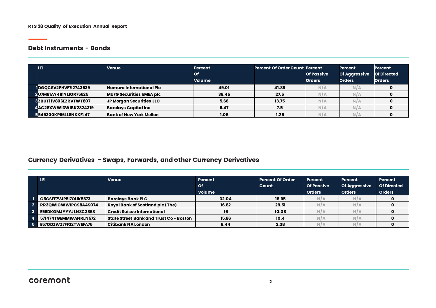#### **Debt Instruments - Bonds**

| LEI                          | Venue                           | <b>Percent</b><br>Оf<br><b>Volume</b> | <b>Percent Of Order Count Percent</b> | <b>Of Passive</b><br><b>Orders</b> | <b>Percent</b><br><b>Of Aggressive</b><br><b>Orders</b> | <b>Percent</b><br><b>Of Directed</b><br><b>Orders</b> |
|------------------------------|---------------------------------|---------------------------------------|---------------------------------------|------------------------------------|---------------------------------------------------------|-------------------------------------------------------|
| <b>IDGOCSV2PHVF7I2743539</b> | Nomura International Plc        | 49.01                                 | 41.88                                 | N/A                                | N/A                                                     |                                                       |
| <b>2U7M81AY481YLIOR75625</b> | <b>MUFG Securities EMEA plc</b> | 38.45                                 | 27.5                                  | N/A                                | N/A                                                     |                                                       |
| 3ZBUTIIV806EZRVTWT807        | UP Morgan Securities LLC        | 5.66                                  | 13.75                                 | N/A                                | N/A                                                     |                                                       |
| 4 AC28XWWI3WIBK2824319       | <b>Barclays Capital Inc</b>     | 5.47                                  | 7.5                                   | N/A                                | N/A                                                     |                                                       |
| 5549300KP56LL8NKKFL47        | <b>Bank of New York Mellon</b>  | 1.05                                  | 1.25                                  | N/A                                |                                                         |                                                       |

## **Currency Derivatives –Swaps, Forwards, and other Currency Derivatives**

| LEI                         | <b>Venue</b>                            | <b>Percent</b><br><b>Of</b><br><b>Volume</b> | <b>Percent Of Order</b><br>Count | Percent<br><b>Of Passive</b><br><b>Orders</b> | <b>Percent</b><br><b>Of Aggressive</b><br><b>Orders</b> | <b>Percent</b><br><b>Of Directed</b><br><b>Orders</b> |
|-----------------------------|-----------------------------------------|----------------------------------------------|----------------------------------|-----------------------------------------------|---------------------------------------------------------|-------------------------------------------------------|
| <b>G5GSEF7VJP5I7OUK5573</b> | <b>Barclays Bank PLC</b>                | 32.04                                        | 18.95                            | N/A                                           | N/A                                                     |                                                       |
| <b>RR3OWICWWIPCS8A4S074</b> | Royal Bank of Scotland plc (The)        | 16.82                                        | 29.51                            | N/A                                           | N/A                                                     |                                                       |
| E58DKGMJYYYJLN8C3868        | <b>Credit Suisse International</b>      | 16                                           | 10.08                            | N/A                                           | N/A                                                     |                                                       |
| 571474TGEMMWANRLN572        | State Street Bank and Trust Co - Boston | 15.86                                        | 10.4                             | N/A                                           | N/L                                                     |                                                       |
| <b>E57ODZWZ7FF32TWEFA76</b> | Citibank NA London                      | 8.44                                         | 2.38                             | N/A                                           | N/A                                                     |                                                       |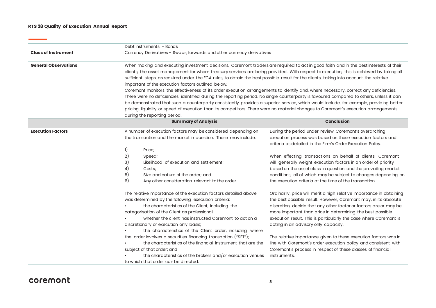#### **RTS 28 Quality of Execution Annual Report**

 $\sim$ 

|                             | Debt Instruments - Bonds                                                                                                                                                                                                                                                                                                                                                                                                                                                                                                                                                                                                                                                                                                                                                                                                                                                                                                                                                                                                                                                          |                                                                                                                                                                                                                                                                                                                                                                                                                                                                                                                                |  |  |  |
|-----------------------------|-----------------------------------------------------------------------------------------------------------------------------------------------------------------------------------------------------------------------------------------------------------------------------------------------------------------------------------------------------------------------------------------------------------------------------------------------------------------------------------------------------------------------------------------------------------------------------------------------------------------------------------------------------------------------------------------------------------------------------------------------------------------------------------------------------------------------------------------------------------------------------------------------------------------------------------------------------------------------------------------------------------------------------------------------------------------------------------|--------------------------------------------------------------------------------------------------------------------------------------------------------------------------------------------------------------------------------------------------------------------------------------------------------------------------------------------------------------------------------------------------------------------------------------------------------------------------------------------------------------------------------|--|--|--|
| <b>Class of Instrument</b>  | Currency Derivatives - Swaps, forwards and other currency derivatives                                                                                                                                                                                                                                                                                                                                                                                                                                                                                                                                                                                                                                                                                                                                                                                                                                                                                                                                                                                                             |                                                                                                                                                                                                                                                                                                                                                                                                                                                                                                                                |  |  |  |
| <b>General Observations</b> | When making and executing investment decisions, Coremont traders are required to act in good faith and in the best interests of their<br>clients, the asset management for whom treasury services are being provided. With respect to execution, this is achieved by taking all<br>sufficient steps, as required under the FCA rules, to obtain the best possible result for the clients, taking into account the relative<br>important of the execution factors outlined below.<br>Coremont monitors the effectiveness of its order execution arrangements to identify and, where necessary, correct any deficiencies.<br>There were no deficiencies identified during the reporting period. No single counterparty is favoured compared to others, unless it can<br>be demonstrated that such a counterparty consistently provides a superior service, which would include, for example, providing better<br>pricing, liquidity or speed of execution than its competitors. There were no material changes to Coremont's execution arrangements<br>during the reporting period. |                                                                                                                                                                                                                                                                                                                                                                                                                                                                                                                                |  |  |  |
|                             | <b>Summary of Analysis</b>                                                                                                                                                                                                                                                                                                                                                                                                                                                                                                                                                                                                                                                                                                                                                                                                                                                                                                                                                                                                                                                        | <b>Conclusion</b>                                                                                                                                                                                                                                                                                                                                                                                                                                                                                                              |  |  |  |
| <b>Execution Factors</b>    | A number of execution factors may be considered depending on<br>the transaction and the market in question. These may include:<br>1)<br>Price;<br>2)<br>Speed;                                                                                                                                                                                                                                                                                                                                                                                                                                                                                                                                                                                                                                                                                                                                                                                                                                                                                                                    | During the period under review, Coremont's overarching<br>execution process was based on these execution factors and<br>criteria as detailed in the Firm's Order Execution Policy.<br>When effecting transactions on behalf of clients, Coremont                                                                                                                                                                                                                                                                               |  |  |  |
|                             | 3)<br>Likelihood of execution and settlement;<br>4)<br>Costs;<br>5)<br>Size and nature of the order; and<br>6)<br>Any other consideration relevant to the order.                                                                                                                                                                                                                                                                                                                                                                                                                                                                                                                                                                                                                                                                                                                                                                                                                                                                                                                  | will generally weight execution factors in an order of priority<br>based on the asset class in question and the prevailing market<br>conditions, all of which may be subject to changes depending on<br>the execution criteria at the time of the transaction.                                                                                                                                                                                                                                                                 |  |  |  |
|                             | The relative importance of the execution factors detailed above<br>was determined by the following execution criteria:<br>the characteristics of the Client, including the<br>categorisation of the Client as professional;<br>whether the client has instructed Coremont to act on a<br>discretionary or execution only basis;<br>the characteristics of the Client order, including where<br>the order involves a securities financing transaction ("SFT");<br>the characteristics of the financial instrument that are the                                                                                                                                                                                                                                                                                                                                                                                                                                                                                                                                                     | Ordinarily, price will merit a high relative importance in obtaining<br>the best possible result. However, Coremont may, in its absolute<br>discretion, decide that any other factor or factors are or may be<br>more important than price in determining the best possible<br>execution result. This is particularly the case where Coremont is<br>acting in an advisory only capacity.<br>The relative importance given to these execution factors was in<br>line with Coremont's order execution policy and consistent with |  |  |  |
|                             | subject of that order; and<br>the characteristics of the brokers and/or execution venues<br>to which that order can be directed.                                                                                                                                                                                                                                                                                                                                                                                                                                                                                                                                                                                                                                                                                                                                                                                                                                                                                                                                                  | Coremont's process in respect of these classes of financial<br>instruments.                                                                                                                                                                                                                                                                                                                                                                                                                                                    |  |  |  |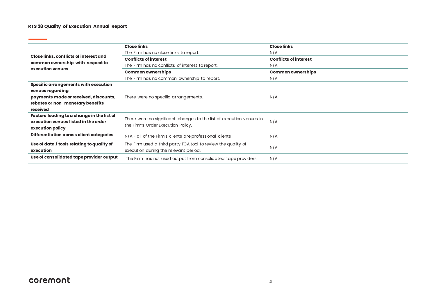#### **RTS 28 Quality of Execution Annual Report**

<u> The Common State Common Sta</u>

|                                            | <b>Close links</b>                                                   | <b>Close links</b>           |
|--------------------------------------------|----------------------------------------------------------------------|------------------------------|
|                                            |                                                                      |                              |
| Close links, conflicts of interest and     | The Firm has no close links to report.                               | N/A                          |
| common ownership with respect to           | <b>Conflicts of interest</b>                                         | <b>Conflicts of interest</b> |
| execution venues                           | The Firm has no conflicts of interest to report.                     | N/A                          |
|                                            | <b>Common ownerships</b>                                             | <b>Common ownerships</b>     |
|                                            | The Firm has no common ownership to report.                          | N/A                          |
| Specific arrangements with execution       |                                                                      |                              |
| venues regarding                           |                                                                      |                              |
| payments made or received, discounts,      | There were no specific arrangements.                                 | N/A                          |
| rebates or non-monetary benefits           |                                                                      |                              |
| received                                   |                                                                      |                              |
| Factors leading to a change in the list of |                                                                      |                              |
| execution venues listed in the order       | There were no significant changes to the list of execution venues in | N/A                          |
| execution policy                           | the Firm's Order Execution Policy.                                   |                              |
| Differentiation across client categories   | $N/A$ - all of the Firm's clients are professional clients           | N/A                          |
| Use of data / tools relating to quality of | The Firm used a third party TCA tool to review the quality of        | N/A                          |
| execution                                  | execution during the relevant period.                                |                              |
| Use of consolidated tape provider output   | The Firm has not used output from consolidated tape providers.       | N/A                          |

# coremont